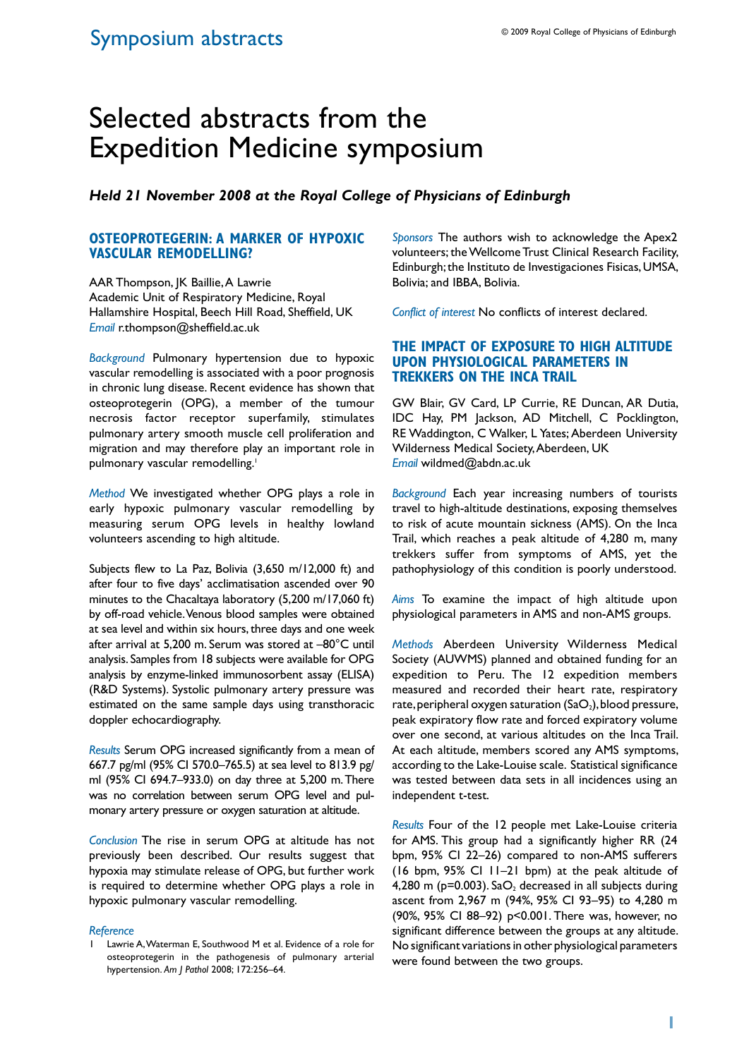# Selected abstracts from the Expedition Medicine symposium

*Held 21 November 2008 at the Royal College of Physicians of Edinburgh*

#### **Osteoprotegerin: a marker of hypoxic vascular remodelling?**

AAR Thompson, JK Baillie, A Lawrie Academic Unit of Respiratory Medicine, Royal Hallamshire Hospital, Beech Hill Road, Sheffield, UK *Email* r.thompson@sheffield.ac.uk

*Background* Pulmonary hypertension due to hypoxic vascular remodelling is associated with a poor prognosis in chronic lung disease. Recent evidence has shown that osteoprotegerin (OPG), a member of the tumour necrosis factor receptor superfamily, stimulates pulmonary artery smooth muscle cell proliferation and migration and may therefore play an important role in pulmonary vascular remodelling.<sup>1</sup>

*Method* We investigated whether OPG plays a role in early hypoxic pulmonary vascular remodelling by measuring serum OPG levels in healthy lowland volunteers ascending to high altitude.

Subjects flew to La Paz, Bolivia (3,650 m/12,000 ft) and after four to five days' acclimatisation ascended over 90 minutes to the Chacaltaya laboratory (5,200 m/17,060 ft) by off-road vehicle. Venous blood samples were obtained at sea level and within six hours, three days and one week after arrival at 5,200 m. Serum was stored at –80°C until analysis. Samples from 18 subjects were available for OPG analysis by enzyme-linked immunosorbent assay (ELISA) (R&D Systems). Systolic pulmonary artery pressure was estimated on the same sample days using transthoracic doppler echocardiography.

*Results* Serum OPG increased significantly from a mean of 667.7 pg/ml (95% CI 570.0–765.5) at sea level to 813.9 pg/ ml (95% CI 694.7–933.0) on day three at 5,200 m. There was no correlation between serum OPG level and pulmonary artery pressure or oxygen saturation at altitude.

*Conclusion* The rise in serum OPG at altitude has not previously been described. Our results suggest that hypoxia may stimulate release of OPG, but further work is required to determine whether OPG plays a role in hypoxic pulmonary vascular remodelling.

#### *Reference*

*Sponsors* The authors wish to acknowledge the Apex2 volunteers; the Wellcome Trust Clinical Research Facility, Edinburgh; the Instituto de Investigaciones Fisicas, UMSA, Bolivia; and IBBA, Bolivia.

*Conflict of interest* No conflicts of interest declared.

## **The Impact of Exposure To High Altitude Upon Physiological Parameters In Trekkers on the Inca Trail**

GW Blair, GV Card, LP Currie, RE Duncan, AR Dutia, IDC Hay, PM Jackson, AD Mitchell, C Pocklington, RE Waddington, C Walker, L Yates; Aberdeen University Wilderness Medical Society, Aberdeen, UK *Email* wildmed@abdn.ac.uk

*Background* Each year increasing numbers of tourists travel to high-altitude destinations, exposing themselves to risk of acute mountain sickness (AMS). On the Inca Trail, which reaches a peak altitude of 4,280 m, many trekkers suffer from symptoms of AMS, yet the pathophysiology of this condition is poorly understood.

*Aims* To examine the impact of high altitude upon physiological parameters in AMS and non-AMS groups.

*Methods* Aberdeen University Wilderness Medical Society (AUWMS) planned and obtained funding for an expedition to Peru. The 12 expedition members measured and recorded their heart rate, respiratory rate, peripheral oxygen saturation  $(SaO<sub>2</sub>)$ , blood pressure, peak expiratory flow rate and forced expiratory volume over one second, at various altitudes on the Inca Trail. At each altitude, members scored any AMS symptoms, according to the Lake-Louise scale. Statistical significance was tested between data sets in all incidences using an independent t-test.

*Results* Four of the 12 people met Lake-Louise criteria for AMS. This group had a significantly higher RR (24 bpm, 95% CI 22–26) compared to non-AMS sufferers (16 bpm, 95% CI 11–21 bpm) at the peak altitude of 4,280 m ( $p=0.003$ ). Sa $O_2$  decreased in all subjects during ascent from 2,967 m (94%, 95% CI 93–95) to 4,280 m (90%, 95% CI 88–92) p<0.001. There was, however, no significant difference between the groups at any altitude. No significant variations in other physiological parameters were found between the two groups.

Lawrie A, Waterman E, Southwood M et al. Evidence of a role for osteoprotegerin in the pathogenesis of pulmonary arterial hypertension. *Am J Pathol* 2008; 172:256–64.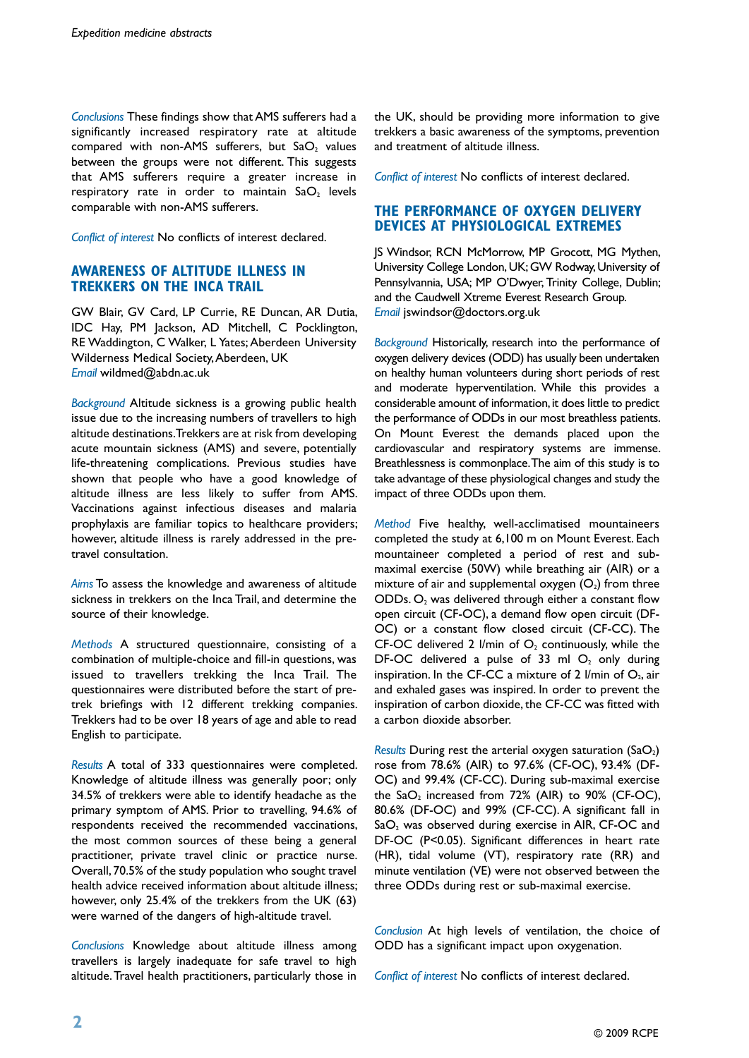*Conclusions* These findings show that AMS sufferers had a significantly increased respiratory rate at altitude compared with non-AMS sufferers, but  $SaO<sub>2</sub>$  values between the groups were not different. This suggests that AMS sufferers require a greater increase in respiratory rate in order to maintain  $a_2$  levels comparable with non-AMS sufferers.

*Conflict of interest* No conflicts of interest declared.

#### **Awareness of Altitude Illness in Trekkers on the Inca Trail**

GW Blair, GV Card, LP Currie, RE Duncan, AR Dutia, IDC Hay, PM Jackson, AD Mitchell, C Pocklington, RE Waddington, C Walker, L Yates; Aberdeen University Wilderness Medical Society, Aberdeen, UK *Email* wildmed@abdn.ac.uk

*Background* Altitude sickness is a growing public health issue due to the increasing numbers of travellers to high altitude destinations. Trekkers are at risk from developing acute mountain sickness (AMS) and severe, potentially life-threatening complications. Previous studies have shown that people who have a good knowledge of altitude illness are less likely to suffer from AMS. Vaccinations against infectious diseases and malaria prophylaxis are familiar topics to healthcare providers; however, altitude illness is rarely addressed in the pretravel consultation.

*Aims* To assess the knowledge and awareness of altitude sickness in trekkers on the Inca Trail, and determine the source of their knowledge.

*Methods* A structured questionnaire, consisting of a combination of multiple-choice and fill-in questions, was issued to travellers trekking the Inca Trail. The questionnaires were distributed before the start of pretrek briefings with 12 different trekking companies. Trekkers had to be over 18 years of age and able to read English to participate.

*Results* A total of 333 questionnaires were completed. Knowledge of altitude illness was generally poor; only 34.5% of trekkers were able to identify headache as the primary symptom of AMS. Prior to travelling, 94.6% of respondents received the recommended vaccinations, the most common sources of these being a general practitioner, private travel clinic or practice nurse. Overall, 70.5% of the study population who sought travel health advice received information about altitude illness; however, only 25.4% of the trekkers from the UK (63) were warned of the dangers of high-altitude travel.

*Conclusions* Knowledge about altitude illness among travellers is largely inadequate for safe travel to high altitude. Travel health practitioners, particularly those in

the UK, should be providing more information to give trekkers a basic awareness of the symptoms, prevention and treatment of altitude illness.

*Conflict of interest* No conflicts of interest declared.

## **The Performance of Oxygen Delivery Devices at Physiological Extremes**

JS Windsor, RCN McMorrow, MP Grocott, MG Mythen, University College London, UK; GW Rodway, University of Pennsylvannia, USA; MP O'Dwyer, Trinity College, Dublin; and the Caudwell Xtreme Everest Research Group. *Email* jswindsor@doctors.org.uk

*Background* Historically, research into the performance of oxygen delivery devices (ODD) has usually been undertaken on healthy human volunteers during short periods of rest and moderate hyperventilation. While this provides a considerable amount of information, it does little to predict the performance of ODDs in our most breathless patients. On Mount Everest the demands placed upon the cardiovascular and respiratory systems are immense. Breathlessness is commonplace. The aim of this study is to take advantage of these physiological changes and study the impact of three ODDs upon them.

*Method* Five healthy, well-acclimatised mountaineers completed the study at 6,100 m on Mount Everest. Each mountaineer completed a period of rest and submaximal exercise (50W) while breathing air (AIR) or a mixture of air and supplemental oxygen  $(O_2)$  from three  $ODDs$ ,  $O<sub>2</sub>$  was delivered through either a constant flow open circuit (CF-OC), a demand flow open circuit (DF-OC) or a constant flow closed circuit (CF-CC). The CF-OC delivered 2 l/min of  $O<sub>2</sub>$  continuously, while the DF-OC delivered a pulse of 33 ml  $O_2$  only during inspiration. In the CF-CC a mixture of 2 l/min of  $O_2$ , air and exhaled gases was inspired. In order to prevent the inspiration of carbon dioxide, the CF-CC was fitted with a carbon dioxide absorber.

*Results* During rest the arterial oxygen saturation (SaO<sub>2</sub>) rose from 78.6% (AIR) to 97.6% (CF-OC), 93.4% (DF-OC) and 99.4% (CF-CC). During sub-maximal exercise the  $SaO<sub>2</sub>$  increased from 72% (AIR) to 90% (CF-OC), 80.6% (DF-OC) and 99% (CF-CC). A significant fall in  $SaO<sub>2</sub>$  was observed during exercise in AIR, CF-OC and DF-OC (P<0.05). Significant differences in heart rate (HR), tidal volume (VT), respiratory rate (RR) and minute ventilation (VE) were not observed between the three ODDs during rest or sub-maximal exercise.

*Conclusion* At high levels of ventilation, the choice of ODD has a significant impact upon oxygenation.

*Conflict of interest* No conflicts of interest declared.